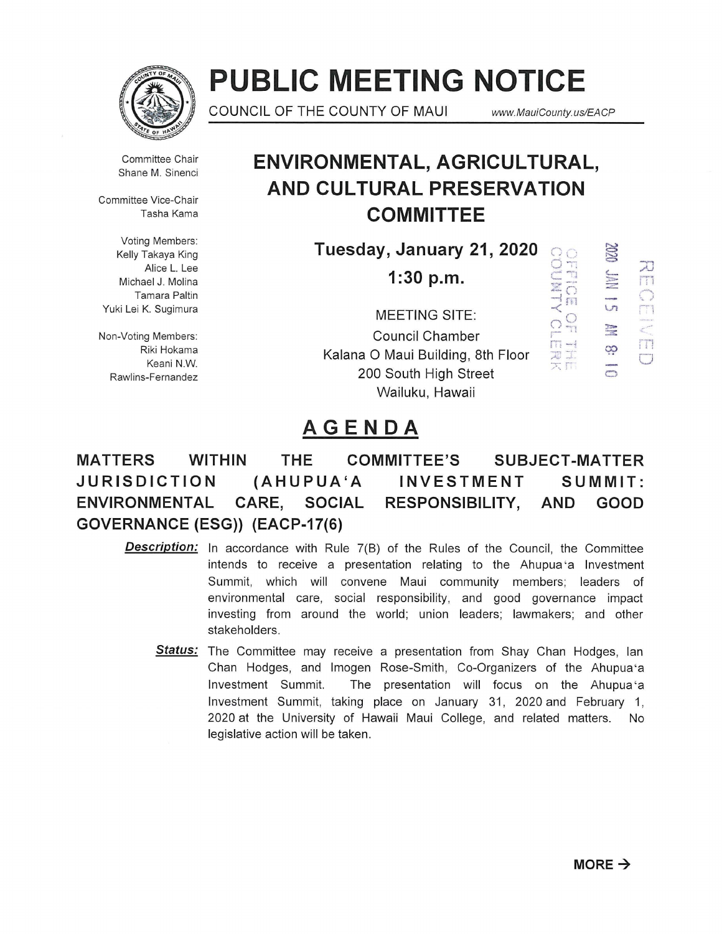

# **PUBLIC MEETING NOTICE**

COUNCIL OF THE COUNTY OF MAUl *www.* MauiCounty. us/EACP

<sup>=</sup>:::D '-

 $\frac{1}{\sqrt{n}}$   $\frac{1}{\sqrt{1}}$ 

rr1 C.:J

 $\Xi$ <sup>3</sup>;  $\Xi$   $\Xi$   $\Xi$   $\Xi$ 

 $\frac{1}{2}$ 9?

a

 $\rightarrow$   $\overline{m}$ 

 $\frac{11}{\pi}$  $\frac{1}{2}$ 

 $\frac{O}{D}$ 

Committee Chair Shane M. Sinenci

Committee Vice-Chair Tasha Kama

Voting Members: Alice L. Lee Michael J. Molina Tamara Paltin Yuki Lei K. Sugimura

Non-Voting Members: Riki Hokama Keani N.W. Rawlins-Fernandez

# **ENVIRONMENTAL, AGRICULTURAL, AND CULTURAL PRESERVATION COMMITTEE**

 $\frac{1}{\text{Kelly Takaya King}}$  **Fuesday, January 21, 2020** and  $\frac{1}{\text{N}}$ 0>. **1 :30 p.m.** c: ····l

MEETING SITE: Council Chamber Kalana 0 Maui Building, 8th Floor 200 South High Street Wailuku, Hawaii

# **AGENDA**

**MATTERS WITHIN THE COMMITTEE'S SUBJECT -MATTER JURISDICTION (AHUPUA'A INVESTMENT SUMMIT: ENVIRONMENTAL CARE, SOCIAL RESPONSIBILITY, AND GOOD GOVERNANCE (ESG)) (EACP-17(6)** 

- **Description:** In accordance with Rule 7(B) of the Rules of the Council, the Committee intends to receive a presentation relating to the Ahupua 'a Investment Summit, which will convene Maui community members; leaders of environmental care, social responsibility, and good governance impact investing from around the world; union leaders; lawmakers; and other stakeholders.
	- **Status:** The Committee may receive a presentation from Shay Chan Hodges, lan Chan Hodges, and Imogen Rose-Smith, Co-Organizers of the Ahupua 'a Investment Summit. The presentation will focus on the Ahupua 'a Investment Summit, taking place on January 31, 2020 and February 1, 2020 at the University of Hawaii Maui College, and related matters. No legislative action will be taken .